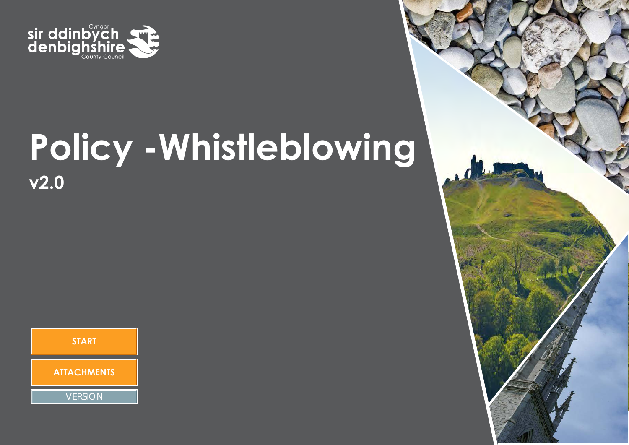

# **Policy -Whistleblowing v2.0**



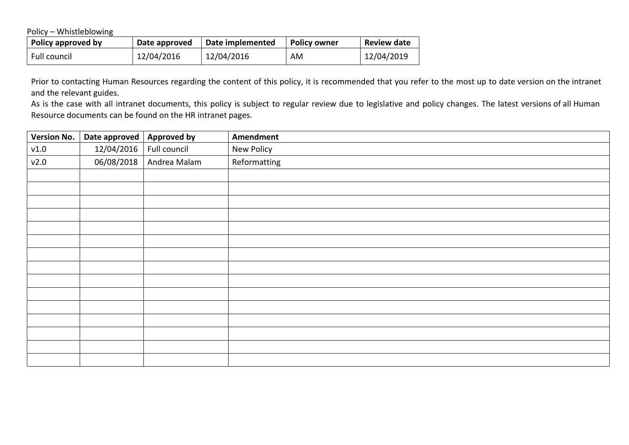Policy – Whistleblowing

| Policy approved by | Date approved | Date implemented | <b>Policy owner</b> | <b>Review date</b> |
|--------------------|---------------|------------------|---------------------|--------------------|
| Full council       | 12/04/2016    | 12/04/2016       | AM                  | 12/04/2019         |

Prior to contacting Human Resources regarding the content of this policy, it is recommended that you refer to the most up to date version on the intranet and the relevant guides.

As is the case with all intranet documents, this policy is subject to regular review due to legislative and policy changes. The latest versions of all Human Resource documents can be found on the HR intranet pages.

| Version No. | Date approved $\vert$ Approved by |              | Amendment    |
|-------------|-----------------------------------|--------------|--------------|
| v1.0        | 12/04/2016                        | Full council | New Policy   |
| v2.0        | 06/08/2018                        | Andrea Malam | Reformatting |
|             |                                   |              |              |
|             |                                   |              |              |
|             |                                   |              |              |
|             |                                   |              |              |
|             |                                   |              |              |
|             |                                   |              |              |
|             |                                   |              |              |
|             |                                   |              |              |
|             |                                   |              |              |
|             |                                   |              |              |
|             |                                   |              |              |
|             |                                   |              |              |
|             |                                   |              |              |
|             |                                   |              |              |
|             |                                   |              |              |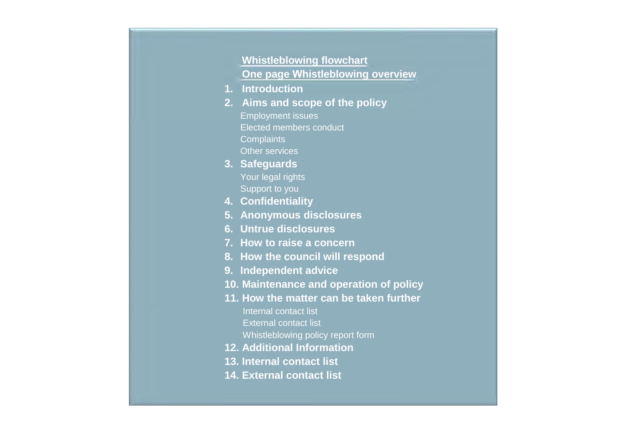### **Whistleblowing flowchart One page Whistleblowing overview**

- **1. Introduction**
- **2. Aims and scope of the policy** Employment issues Elected members conduct **Complaints** Other services
- **3. Safeguards** Your legal rights Support to you
- **4. Confidentiality**
- **5. Anonymous disclosures**
- **6. Untrue disclosures**
- **7. How to raise a concern**
- **8. How the council will respond**
- **9. Independent advice**
- **10. Maintenance and operation of policy**
- **11. How the matter can be taken further** Internal contact list External contact list
	- Whistleblowing policy report form
- **12. Additional Information**
- **13. Internal contact list**
- **14. External contact list**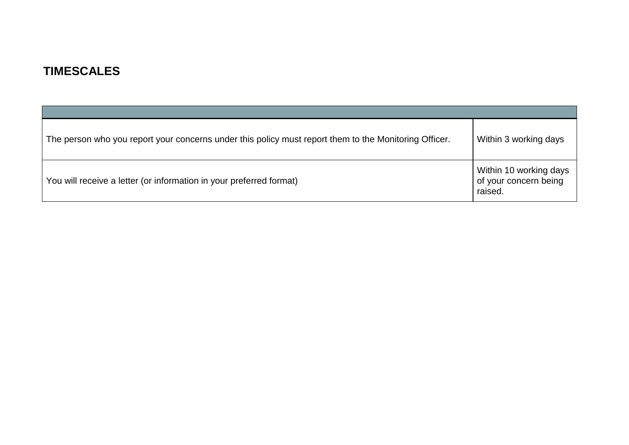### **TIMESCALES**

| The person who you report your concerns under this policy must report them to the Monitoring Officer. | Within 3 working days                                      |
|-------------------------------------------------------------------------------------------------------|------------------------------------------------------------|
| You will receive a letter (or information in your preferred format)                                   | Within 10 working days<br>of your concern being<br>raised. |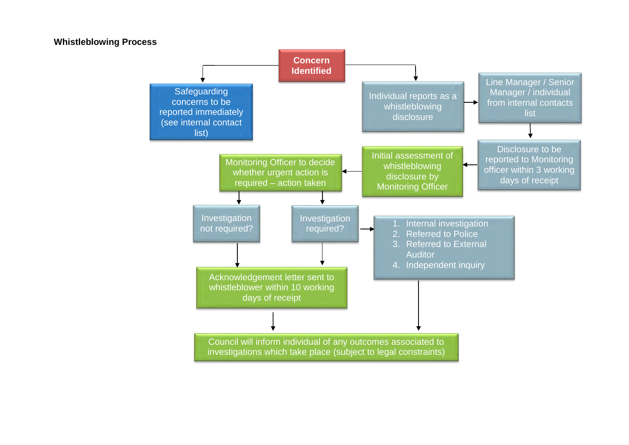#### **Whistleblowing Process Concern Identified** Individual reports as a whistleblowing disclosure Line Manager / Senior Manager / individual from internal contacts list Acknowledgement letter sent to whistleblower within 10 working days of receipt Disclosure to be reported to Monitoring officer within 3 working days of receipt Initial assessment of whistleblowing disclosure by Monitoring Officer **Safeguarding** concerns to be reported immediately (see internal contact list) **Investigation** required? Monitoring Officer to decide whether urgent action is required – action taken Investigation<br>
not required? 1. Internal investigation 2. Referred to Police 3. Referred to External **Auditor** 4. Independent inquiry Council will inform individual of any outcomes associated to

investigations which take place (subject to legal constraints)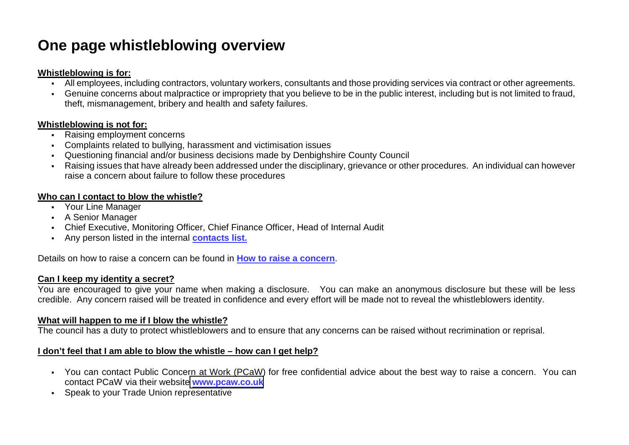### **One page whistleblowing overview**

#### **Whistleblowing is for:**

- All employees, including contractors, voluntary workers, consultants and those providing services via contract or other agreements.
- Genuine concerns about malpractice or impropriety that you believe to be in the public interest, including but is not limited to fraud, theft, mismanagement, bribery and health and safety failures.

#### **Whistleblowing is not for:**

- Raising employment concerns
- Complaints related to bullying, harassment and victimisation issues
- Questioning financial and/or business decisions made by Denbighshire County Council
- Raising issues that have already been addressed under the disciplinary, grievance or other procedures. An individual can however raise a concern about failure to follow these procedures

#### **Who can I contact to blow the whistle?**

- Your Line Manager
- A Senior Manager
- Chief Executive, Monitoring Officer, Chief Finance Officer, Head of Internal Audit
- Any person listed in the internal **contacts list.**

Details on how to raise a concern can be found in **How to raise a concern**.

#### **Can I keep my identity a secret?**

You are encouraged to give your name when making a disclosure. You can make an anonymous disclosure but these will be less credible. Any concern raised will be treated in confidence and every effort will be made not to reveal the whistleblowers identity.

#### **What will happen to me if I blow the whistle?**

The council has a duty to protect whistleblowers and to ensure that any concerns can be raised without recrimination or reprisal.

#### **I don't feel that I am able to blow the whistle – how can I get help?**

- You can contact Public Concern at Work (PCaW) for free confidential advice about the best way to raise a concern. You can contact PCaW via their website **<www.pcaw.co.uk>**
- Speak to your Trade Union representative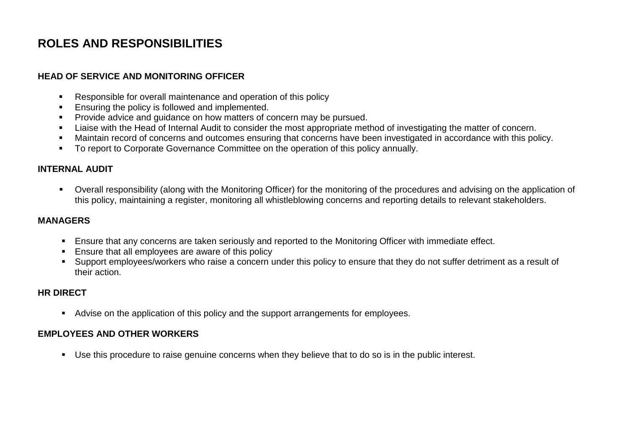### **ROLES AND RESPONSIBILITIES**

#### **HEAD OF SERVICE AND MONITORING OFFICER**

- Responsible for overall maintenance and operation of this policy
- **Ensuring the policy is followed and implemented.**
- **Provide advice and guidance on how matters of concern may be pursued.**
- **EXECT** Liaise with the Head of Internal Audit to consider the most appropriate method of investigating the matter of concern.
- Maintain record of concerns and outcomes ensuring that concerns have been investigated in accordance with this policy.
- **To report to Corporate Governance Committee on the operation of this policy annually.**

#### **INTERNAL AUDIT**

 Overall responsibility (along with the Monitoring Officer) for the monitoring of the procedures and advising on the application of this policy, maintaining a register, monitoring all whistleblowing concerns and reporting details to relevant stakeholders.

#### **MANAGERS**

- **Ensure that any concerns are taken seriously and reported to the Monitoring Officer with immediate effect.**
- **Ensure that all employees are aware of this policy**
- Support employees/workers who raise a concern under this policy to ensure that they do not suffer detriment as a result of their action.

#### **HR DIRECT**

Advise on the application of this policy and the support arrangements for employees.

#### **EMPLOYEES AND OTHER WORKERS**

Use this procedure to raise genuine concerns when they believe that to do so is in the public interest.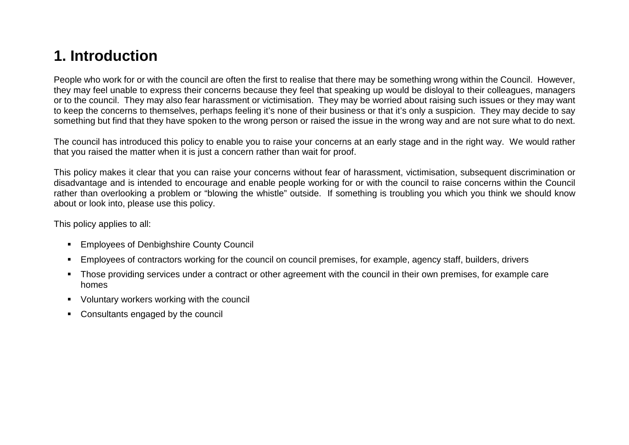### **1. Introduction**

People who work for or with the council are often the first to realise that there may be something wrong within the Council. However, they may feel unable to express their concerns because they feel that speaking up would be disloyal to their colleagues, managers or to the council. They may also fear harassment or victimisation. They may be worried about raising such issues or they may want to keep the concerns to themselves, perhaps feeling it's none of their business or that it's only a suspicion. They may decide to say something but find that they have spoken to the wrong person or raised the issue in the wrong way and are not sure what to do next.

The council has introduced this policy to enable you to raise your concerns at an early stage and in the right way. We would rather that you raised the matter when it is just a concern rather than wait for proof.

This policy makes it clear that you can raise your concerns without fear of harassment, victimisation, subsequent discrimination or disadvantage and is intended to encourage and enable people working for or with the council to raise concerns within the Council rather than overlooking a problem or "blowing the whistle" outside. If something is troubling you which you think we should know about or look into, please use this policy.

This policy applies to all:

- **Employees of Denbighshire County Council**
- Employees of contractors working for the council on council premises, for example, agency staff, builders, drivers
- Those providing services under a contract or other agreement with the council in their own premises, for example care homes
- Voluntary workers working with the council
- Consultants engaged by the council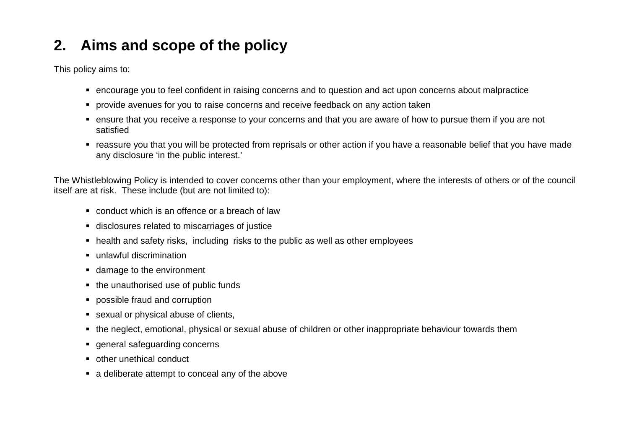# **2. Aims and scope of the policy**

This policy aims to:

- encourage you to feel confident in raising concerns and to question and act upon concerns about malpractice
- **PED Provide avenues for you to raise concerns and receive feedback on any action taken**
- ensure that you receive a response to your concerns and that you are aware of how to pursue them if you are not satisfied
- reassure you that you will be protected from reprisals or other action if you have a reasonable belief that you have made any disclosure 'in the public interest.'

The Whistleblowing Policy is intended to cover concerns other than your employment, where the interests of others or of the council itself are at risk. These include (but are not limited to):

- conduct which is an offence or a breach of law
- disclosures related to miscarriages of justice
- health and safety risks, including risks to the public as well as other employees
- unlawful discrimination
- damage to the environment
- the unauthorised use of public funds
- possible fraud and corruption
- sexual or physical abuse of clients,
- the neglect, emotional, physical or sexual abuse of children or other inappropriate behaviour towards them
- general safeguarding concerns
- other unethical conduct
- a deliberate attempt to conceal any of the above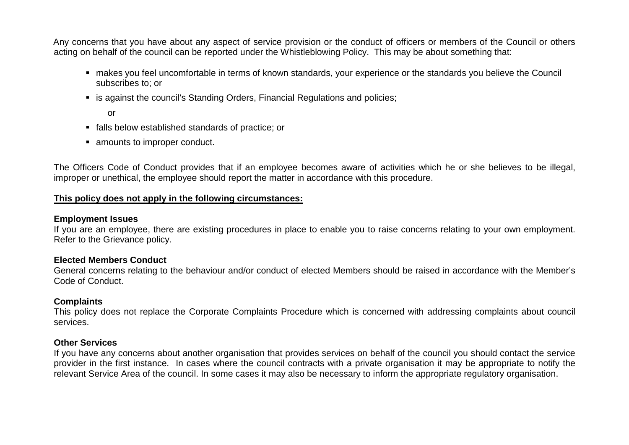Any concerns that you have about any aspect of service provision or the conduct of officers or members of the Council or others acting on behalf of the council can be reported under the Whistleblowing Policy. This may be about something that:

- makes you feel uncomfortable in terms of known standards, your experience or the standards you believe the Council subscribes to; or
- is against the council's Standing Orders, Financial Regulations and policies;

or

- falls below established standards of practice; or
- amounts to improper conduct.

The Officers Code of Conduct provides that if an employee becomes aware of activities which he or she believes to be illegal, improper or unethical, the employee should report the matter in accordance with this procedure.

#### **This policy does not apply in the following circumstances:**

#### **Employment Issues**

If you are an employee, there are existing procedures in place to enable you to raise concerns relating to your own employment. Refer to the Grievance policy.

#### **Elected Members Conduct**

General concerns relating to the behaviour and/or conduct of elected Members should be raised in accordance with the Member's Code of Conduct.

#### **Complaints**

This policy does not replace the Corporate Complaints Procedure which is concerned with addressing complaints about council services.

#### **Other Services**

If you have any concerns about another organisation that provides services on behalf of the council you should contact the service provider in the first instance. In cases where the council contracts with a private organisation it may be appropriate to notify the relevant Service Area of the council. In some cases it may also be necessary to inform the appropriate regulatory organisation.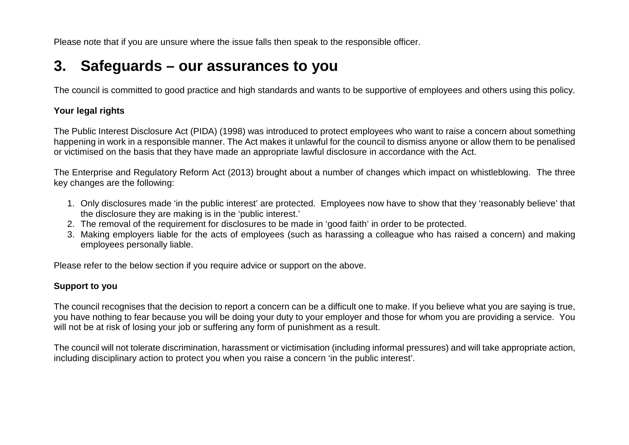Please note that if you are unsure where the issue falls then speak to the responsible officer.

### **3. Safeguards – our assurances to you**

The council is committed to good practice and high standards and wants to be supportive of employees and others using this policy.

#### **Your legal rights**

The Public Interest Disclosure Act (PIDA) (1998) was introduced to protect employees who want to raise a concern about something happening in work in a responsible manner. The Act makes it unlawful for the council to dismiss anyone or allow them to be penalised or victimised on the basis that they have made an appropriate lawful disclosure in accordance with the Act.

The Enterprise and Regulatory Reform Act (2013) brought about a number of changes which impact on whistleblowing. The three key changes are the following:

- 1. Only disclosures made 'in the public interest' are protected. Employees now have to show that they 'reasonably believe' that the disclosure they are making is in the 'public interest.'
- 2. The removal of the requirement for disclosures to be made in 'good faith' in order to be protected.
- 3. Making employers liable for the acts of employees (such as harassing a colleague who has raised a concern) and making employees personally liable.

Please refer to the below section if you require advice or support on the above.

#### **Support to you**

The council recognises that the decision to report a concern can be a difficult one to make. If you believe what you are saying is true, you have nothing to fear because you will be doing your duty to your employer and those for whom you are providing a service. You will not be at risk of losing your job or suffering any form of punishment as a result.

The council will not tolerate discrimination, harassment or victimisation (including informal pressures) and will take appropriate action, including disciplinary action to protect you when you raise a concern 'in the public interest'.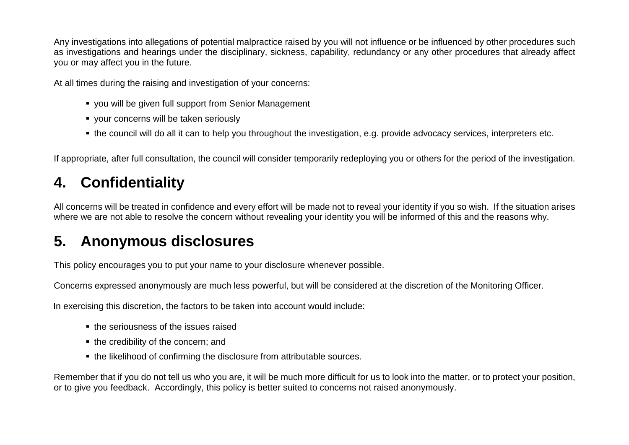Any investigations into allegations of potential malpractice raised by you will not influence or be influenced by other procedures such as investigations and hearings under the disciplinary, sickness, capability, redundancy or any other procedures that already affect you or may affect you in the future.

At all times during the raising and investigation of your concerns:

- you will be given full support from Senior Management
- your concerns will be taken seriously
- the council will do all it can to help you throughout the investigation, e.g. provide advocacy services, interpreters etc.

If appropriate, after full consultation, the council will consider temporarily redeploying you or others for the period of the investigation.

# **4. Confidentiality**

All concerns will be treated in confidence and every effort will be made not to reveal your identity if you so wish. If the situation arises where we are not able to resolve the concern without revealing your identity you will be informed of this and the reasons why.

# **5. Anonymous disclosures**

This policy encourages you to put your name to your disclosure whenever possible.

Concerns expressed anonymously are much less powerful, but will be considered at the discretion of the Monitoring Officer.

In exercising this discretion, the factors to be taken into account would include:

- the seriousness of the issues raised
- the credibility of the concern; and
- the likelihood of confirming the disclosure from attributable sources.

Remember that if you do not tell us who you are, it will be much more difficult for us to look into the matter, or to protect your position, or to give you feedback. Accordingly, this policy is better suited to concerns not raised anonymously.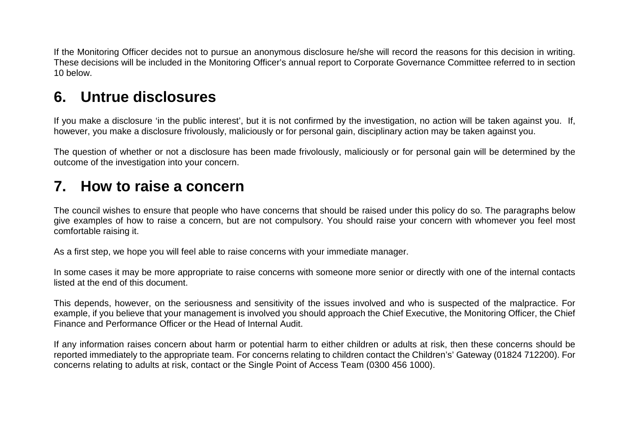If the Monitoring Officer decides not to pursue an anonymous disclosure he/she will record the reasons for this decision in writing. These decisions will be included in the Monitoring Officer's annual report to Corporate Governance Committee referred to in section 10 below.

### **6. Untrue disclosures**

If you make a disclosure 'in the public interest', but it is not confirmed by the investigation, no action will be taken against you. If, however, you make a disclosure frivolously, maliciously or for personal gain, disciplinary action may be taken against you.

The question of whether or not a disclosure has been made frivolously, maliciously or for personal gain will be determined by the outcome of the investigation into your concern.

### **7. How to raise a concern**

The council wishes to ensure that people who have concerns that should be raised under this policy do so. The paragraphs below give examples of how to raise a concern, but are not compulsory. You should raise your concern with whomever you feel most comfortable raising it.

As a first step, we hope you will feel able to raise concerns with your immediate manager.

In some cases it may be more appropriate to raise concerns with someone more senior or directly with one of the internal contacts listed at the end of this document.

This depends, however, on the seriousness and sensitivity of the issues involved and who is suspected of the malpractice. For example, if you believe that your management is involved you should approach the Chief Executive, the Monitoring Officer, the Chief Finance and Performance Officer or the Head of Internal Audit.

If any information raises concern about harm or potential harm to either children or adults at risk, then these concerns should be reported immediately to the appropriate team. For concerns relating to children contact the Children's' Gateway (01824 712200). For concerns relating to adults at risk, contact or the Single Point of Access Team (0300 456 1000).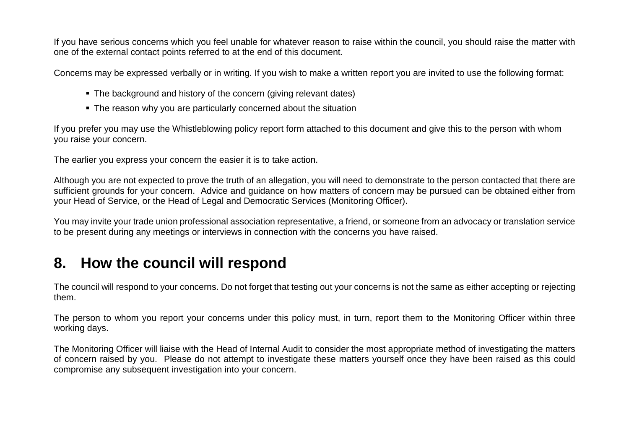If you have serious concerns which you feel unable for whatever reason to raise within the council, you should raise the matter with one of the external contact points referred to at the end of this document.

Concerns may be expressed verbally or in writing. If you wish to make a written report you are invited to use the following format:

- The background and history of the concern (giving relevant dates)
- The reason why you are particularly concerned about the situation

If you prefer you may use the Whistleblowing policy report form attached to this document and give this to the person with whom you raise your concern.

The earlier you express your concern the easier it is to take action.

Although you are not expected to prove the truth of an allegation, you will need to demonstrate to the person contacted that there are sufficient grounds for your concern. Advice and guidance on how matters of concern may be pursued can be obtained either from your Head of Service, or the Head of Legal and Democratic Services (Monitoring Officer).

You may invite your trade union professional association representative, a friend, or someone from an advocacy or translation service to be present during any meetings or interviews in connection with the concerns you have raised.

### **8. How the council will respond**

The council will respond to your concerns. Do not forget that testing out your concerns is not the same as either accepting or rejecting them.

The person to whom you report your concerns under this policy must, in turn, report them to the Monitoring Officer within three working days.

The Monitoring Officer will liaise with the Head of Internal Audit to consider the most appropriate method of investigating the matters of concern raised by you. Please do not attempt to investigate these matters yourself once they have been raised as this could compromise any subsequent investigation into your concern.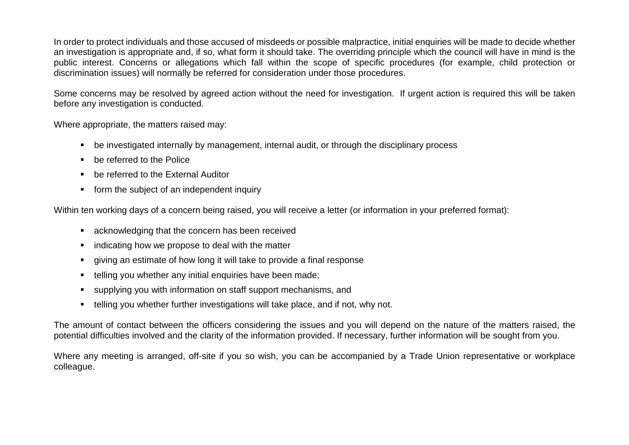In order to protect individuals and those accused of misdeeds or possible malpractice, initial enquiries will be made to decide whether an investigation is appropriate and, if so, what form it should take. The overriding principle which the council will have in mind is the public interest. Concerns or allegations which fall within the scope of specific procedures (for example, child protection or discrimination issues) will normally be referred for consideration under those procedures.

Some concerns may be resolved by agreed action without the need for investigation. If urgent action is required this will be taken before any investigation is conducted.

Where appropriate, the matters raised may:

- be investigated internally by management, internal audit, or through the disciplinary process
- be referred to the Police
- be referred to the External Auditor
- **form the subject of an independent inquiry**

Within ten working days of a concern being raised, you will receive a letter (or information in your preferred format):

- acknowledging that the concern has been received
- $\blacksquare$  indicating how we propose to deal with the matter
- giving an estimate of how long it will take to provide a final response
- **telling you whether any initial enquiries have been made:**
- supplying you with information on staff support mechanisms, and
- telling you whether further investigations will take place, and if not, why not.

The amount of contact between the officers considering the issues and you will depend on the nature of the matters raised, the potential difficulties involved and the clarity of the information provided. If necessary, further information will be sought from you.

Where any meeting is arranged, off-site if you so wish, you can be accompanied by a Trade Union representative or workplace colleague.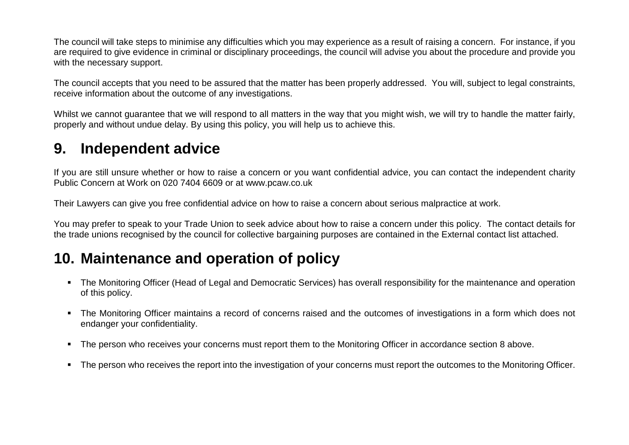The council will take steps to minimise any difficulties which you may experience as a result of raising a concern. For instance, if you are required to give evidence in criminal or disciplinary proceedings, the council will advise you about the procedure and provide you with the necessary support.

The council accepts that you need to be assured that the matter has been properly addressed. You will, subject to legal constraints, receive information about the outcome of any investigations.

Whilst we cannot guarantee that we will respond to all matters in the way that you might wish, we will try to handle the matter fairly, properly and without undue delay. By using this policy, you will help us to achieve this.

### **9. Independent advice**

If you are still unsure whether or how to raise a concern or you want confidential advice, you can contact the independent charity Public Concern at Work on 020 7404 6609 or at www.pcaw.co.uk

Their Lawyers can give you free confidential advice on how to raise a concern about serious malpractice at work.

You may prefer to speak to your Trade Union to seek advice about how to raise a concern under this policy. The contact details for the trade unions recognised by the council for collective bargaining purposes are contained in the External contact list attached.

### **10. Maintenance and operation of policy**

- The Monitoring Officer (Head of Legal and Democratic Services) has overall responsibility for the maintenance and operation of this policy.
- The Monitoring Officer maintains a record of concerns raised and the outcomes of investigations in a form which does not endanger your confidentiality.
- The person who receives your concerns must report them to the Monitoring Officer in accordance section 8 above.
- The person who receives the report into the investigation of your concerns must report the outcomes to the Monitoring Officer.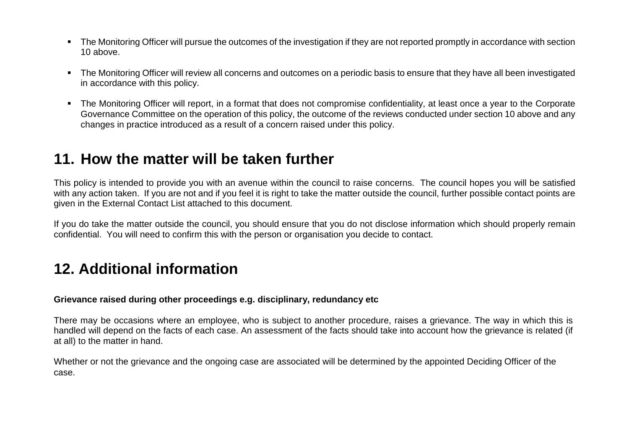- The Monitoring Officer will pursue the outcomes of the investigation if they are not reported promptly in accordance with section 10 above.
- The Monitoring Officer will review all concerns and outcomes on a periodic basis to ensure that they have all been investigated in accordance with this policy.
- The Monitoring Officer will report, in a format that does not compromise confidentiality, at least once a year to the Corporate Governance Committee on the operation of this policy, the outcome of the reviews conducted under section 10 above and any changes in practice introduced as a result of a concern raised under this policy.

### **11. How the matter will be taken further**

This policy is intended to provide you with an avenue within the council to raise concerns. The council hopes you will be satisfied with any action taken. If you are not and if you feel it is right to take the matter outside the council, further possible contact points are given in the External Contact List attached to this document.

If you do take the matter outside the council, you should ensure that you do not disclose information which should properly remain confidential. You will need to confirm this with the person or organisation you decide to contact.

### **12. Additional information**

#### **Grievance raised during other proceedings e.g. disciplinary, redundancy etc**

There may be occasions where an employee, who is subject to another procedure, raises a grievance. The way in which this is handled will depend on the facts of each case. An assessment of the facts should take into account how the grievance is related (if at all) to the matter in hand.

Whether or not the grievance and the ongoing case are associated will be determined by the appointed Deciding Officer of the case.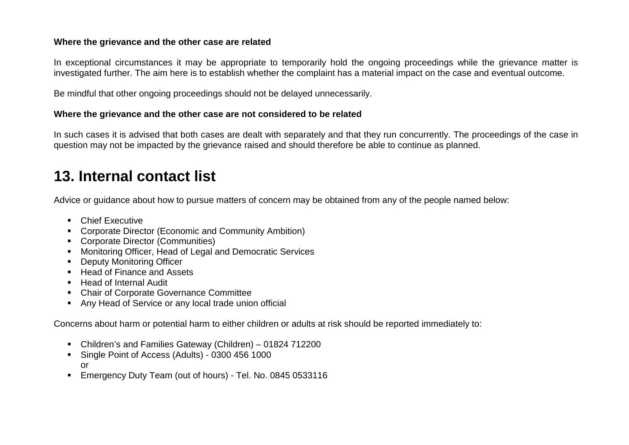#### **Where the grievance and the other case are related**

In exceptional circumstances it may be appropriate to temporarily hold the ongoing proceedings while the grievance matter is investigated further. The aim here is to establish whether the complaint has a material impact on the case and eventual outcome.

Be mindful that other ongoing proceedings should not be delayed unnecessarily.

#### **Where the grievance and the other case are not considered to be related**

In such cases it is advised that both cases are dealt with separately and that they run concurrently. The proceedings of the case in question may not be impacted by the grievance raised and should therefore be able to continue as planned.

# **13. Internal contact list**

Advice or guidance about how to pursue matters of concern may be obtained from any of the people named below:

- **Chief Executive**
- **EXECO CORPORE CORPORED EXECO CONSTREED** Corporate Director (Economic and Community Ambition)
- Corporate Director (Communities)
- Monitoring Officer, Head of Legal and Democratic Services
- **-** Deputy Monitoring Officer
- Head of Finance and Assets
- Head of Internal Audit
- Chair of Corporate Governance Committee
- Any Head of Service or any local trade union official

Concerns about harm or potential harm to either children or adults at risk should be reported immediately to:

- Children's and Families Gateway (Children) 01824 712200
- Single Point of Access (Adults) 0300 456 1000 or
- Emergency Duty Team (out of hours) Tel. No. 0845 0533116